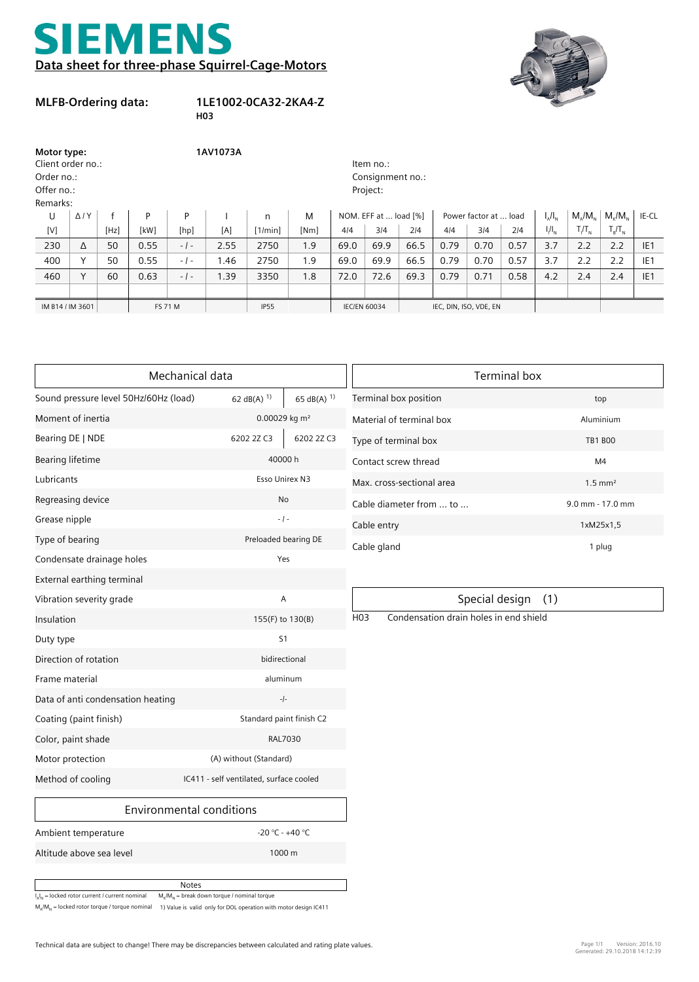## EMEN **Data sheet for three-phase Squirrel-Cage-Motors**



## **MLFB-Ordering data:**

## **1LE1002-0CA32-2KA4-Z**

**H03**

| Motor type:<br>Client order no.:<br>Order no.:<br>Offer no.:<br>Remarks: |                |                |      | 1AV1073A |             |         |                     |      | Item no.:<br>Consignment no.:<br>Project: |      |      |                       |      |           |                                                                 |               |                 |
|--------------------------------------------------------------------------|----------------|----------------|------|----------|-------------|---------|---------------------|------|-------------------------------------------|------|------|-----------------------|------|-----------|-----------------------------------------------------------------|---------------|-----------------|
| U                                                                        | $\Delta$ / $Y$ |                | P    | P        |             | n       | M                   |      | NOM. EFF at  load [%]                     |      |      | Power factor at  load |      | $I_A/I_N$ | $M_{\alpha}/M_{\gamma}$                                         | $M/M_{\odot}$ | IE-CL           |
| [V]                                                                      |                | [Hz]           | [kW] | [hp]     | [A]         | [1/min] | [Nm]                | 4/4  | 3/4                                       | 214  | 4/4  | 3/4                   | 214  | $I/I_{N}$ | $T_{\scriptscriptstyle\parallel} / T_{\scriptscriptstyle\rm N}$ | $T_R/T_N$     |                 |
| 230                                                                      | Δ              | 50             | 0.55 | $-1-$    | 2.55        | 2750    | 1.9                 | 69.0 | 69.9                                      | 66.5 | 0.79 | 0.70                  | 0.57 | 3.7       | 2.2                                                             | 2.2           | IE <sub>1</sub> |
| 400                                                                      | $\checkmark$   | 50             | 0.55 | $-1-$    | 1.46        | 2750    | 1.9                 | 69.0 | 69.9                                      | 66.5 | 0.79 | 0.70                  | 0.57 | 3.7       | 2.2                                                             | 2.2           | IE <sub>1</sub> |
| 460                                                                      | $\checkmark$   | 60             | 0.63 | $-1-$    | 1.39        | 3350    | 1.8                 | 72.0 | 72.6                                      | 69.3 | 0.79 | 0.71                  | 0.58 | 4.2       | 2.4                                                             | 2.4           | IE <sub>1</sub> |
|                                                                          |                |                |      |          |             |         |                     |      |                                           |      |      |                       |      |           |                                                                 |               |                 |
| IM B14 / IM 3601                                                         |                | <b>FS 71 M</b> |      |          | <b>IP55</b> |         | <b>IEC/EN 60034</b> |      | IEC, DIN, ISO, VDE, EN                    |      |      |                       |      |           |                                                                 |               |                 |

|                                       | Mechanical data                         |                          | <b>Terminal box</b> |                                        |                       |  |  |  |
|---------------------------------------|-----------------------------------------|--------------------------|---------------------|----------------------------------------|-----------------------|--|--|--|
| Sound pressure level 50Hz/60Hz (load) | 62 dB(A) $^{1)}$                        | 65 dB(A) $^{1}$          |                     | Terminal box position                  | top                   |  |  |  |
| Moment of inertia                     |                                         | 0.00029 kg $m2$          |                     | Material of terminal box               | Aluminium             |  |  |  |
| Bearing DE   NDE                      | 6202 2Z C3                              | 6202 2Z C3               |                     | Type of terminal box                   | <b>TB1 BOO</b>        |  |  |  |
| Bearing lifetime                      |                                         | 40000 h                  |                     | Contact screw thread                   | M <sub>4</sub>        |  |  |  |
| Lubricants                            |                                         | Esso Unirex N3           |                     | Max. cross-sectional area              | $1.5$ mm <sup>2</sup> |  |  |  |
| Regreasing device                     |                                         | <b>No</b>                |                     | Cable diameter from  to                | 9.0 mm - 17.0 mm      |  |  |  |
| Grease nipple                         |                                         | $-1 -$                   |                     | Cable entry                            | 1xM25x1,5             |  |  |  |
| Type of bearing                       |                                         | Preloaded bearing DE     |                     | Cable gland                            | 1 plug                |  |  |  |
| Condensate drainage holes             |                                         | Yes                      |                     |                                        |                       |  |  |  |
| External earthing terminal            |                                         |                          |                     |                                        |                       |  |  |  |
| Vibration severity grade              |                                         | A                        |                     | (1)<br>Special design                  |                       |  |  |  |
| Insulation                            |                                         | 155(F) to 130(B)         |                     | Condensation drain holes in end shield |                       |  |  |  |
| Duty type                             |                                         | S <sub>1</sub>           |                     |                                        |                       |  |  |  |
| Direction of rotation                 |                                         | bidirectional            |                     |                                        |                       |  |  |  |
| Frame material                        |                                         | aluminum                 |                     |                                        |                       |  |  |  |
| Data of anti condensation heating     |                                         | $-1-$                    |                     |                                        |                       |  |  |  |
| Coating (paint finish)                |                                         | Standard paint finish C2 |                     |                                        |                       |  |  |  |
| Color, paint shade                    |                                         | RAL7030                  |                     |                                        |                       |  |  |  |
| Motor protection                      |                                         | (A) without (Standard)   |                     |                                        |                       |  |  |  |
| Method of cooling                     | IC411 - self ventilated, surface cooled |                          |                     |                                        |                       |  |  |  |
|                                       | Environmental conditions                |                          |                     |                                        |                       |  |  |  |

| Terminal box              |                       |  |  |  |  |  |
|---------------------------|-----------------------|--|--|--|--|--|
| Terminal box position     | top                   |  |  |  |  |  |
| Material of terminal box  | Aluminium             |  |  |  |  |  |
| Type of terminal box      | <b>TB1 BOO</b>        |  |  |  |  |  |
| Contact screw thread      | M4                    |  |  |  |  |  |
| Max. cross-sectional area | $1.5$ mm <sup>2</sup> |  |  |  |  |  |
| Cable diameter from  to   | 9.0 mm - 17.0 mm      |  |  |  |  |  |
| Cable entry               | 1xM25x1,5             |  |  |  |  |  |
| Cable gland               | 1 plug                |  |  |  |  |  |

## Special design (1)

Altitude above sea level 1000 m

Ambient temperature

 $M_A/M_N$  = locked rotor torque / torque nominal  $-1)$  Value is valid only for DOL operation with motor design IC411

-20 °C - +40 °C